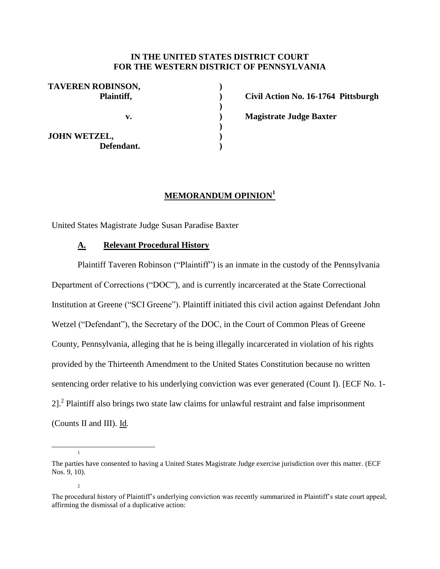## **IN THE UNITED STATES DISTRICT COURT FOR THE WESTERN DISTRICT OF PENNSYLVANIA**

**) ) ) ) ) ) )**

| <b>TAVEREN ROBINSON,</b><br>Plaintiff, |  |
|----------------------------------------|--|
| v.                                     |  |
| <b>JOHN WETZEL,</b><br>Defendant.      |  |

**Civil Action No. 16-1764 Pittsburgh Magistrate Judge Baxter**

# **MEMORANDUM OPINION<sup>1</sup>**

United States Magistrate Judge Susan Paradise Baxter

## **A. Relevant Procedural History**

 $\overline{a}$ 

1

 $\overline{2}$ 

Plaintiff Taveren Robinson ("Plaintiff") is an inmate in the custody of the Pennsylvania Department of Corrections ("DOC"), and is currently incarcerated at the State Correctional Institution at Greene ("SCI Greene"). Plaintiff initiated this civil action against Defendant John Wetzel ("Defendant"), the Secretary of the DOC, in the Court of Common Pleas of Greene County, Pennsylvania, alleging that he is being illegally incarcerated in violation of his rights provided by the Thirteenth Amendment to the United States Constitution because no written sentencing order relative to his underlying conviction was ever generated (Count I). [ECF No. 1- 2]. $2$  Plaintiff also brings two state law claims for unlawful restraint and false imprisonment (Counts II and III). Id*.*

The parties have consented to having a United States Magistrate Judge exercise jurisdiction over this matter. (ECF Nos. 9, 10).

The procedural history of Plaintiff's underlying conviction was recently summarized in Plaintiff's state court appeal, affirming the dismissal of a duplicative action: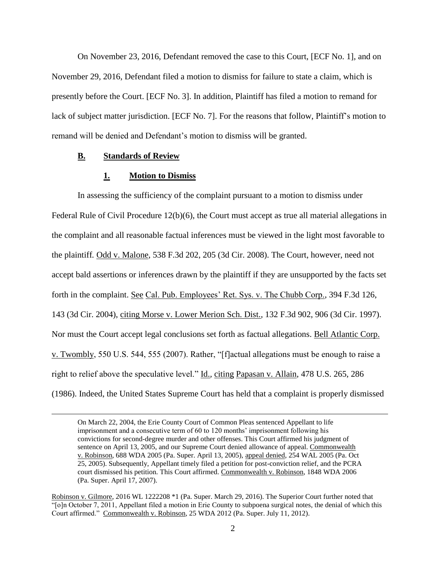On November 23, 2016, Defendant removed the case to this Court, [ECF No. 1], and on November 29, 2016, Defendant filed a motion to dismiss for failure to state a claim, which is presently before the Court. [ECF No. 3]. In addition, Plaintiff has filed a motion to remand for lack of subject matter jurisdiction. [ECF No. 7]. For the reasons that follow, Plaintiff's motion to remand will be denied and Defendant's motion to dismiss will be granted.

## **B. Standards of Review**

 $\overline{a}$ 

#### **1. Motion to Dismiss**

In assessing the sufficiency of the complaint pursuant to a motion to dismiss under Federal Rule of Civil Procedure 12(b)(6), the Court must accept as true all material allegations in the complaint and all reasonable factual inferences must be viewed in the light most favorable to the plaintiff*.* Odd v. Malone, 538 F.3d 202, 205 (3d Cir. 2008). The Court, however, need not accept bald assertions or inferences drawn by the plaintiff if they are unsupported by the facts set forth in the complaint. See Cal. Pub. Employees' Ret. Sys. v. The Chubb Corp., 394 F.3d 126, 143 (3d Cir. 2004), citing Morse v. Lower Merion Sch. Dist., 132 F.3d 902, 906 (3d Cir. 1997). Nor must the Court accept legal conclusions set forth as factual allegations. Bell Atlantic Corp. v. Twombly, 550 U.S. 544, 555 (2007). Rather, "[f]actual allegations must be enough to raise a right to relief above the speculative level." Id.*,* citing Papasan v. Allain, 478 U.S. 265, 286 (1986). Indeed, the United States Supreme Court has held that a complaint is properly dismissed

On March 22, 2004, the Erie County Court of Common Pleas sentenced Appellant to life imprisonment and a consecutive term of 60 to 120 months' imprisonment following his convictions for second-degree murder and other offenses. This Court affirmed his judgment of sentence on April 13, 2005, and our Supreme Court denied allowance of appeal. Commonwealth v. Robinson, 688 WDA 2005 (Pa. Super. April 13, 2005), appeal denied, 254 WAL 2005 (Pa. Oct 25, 2005). Subsequently, Appellant timely filed a petition for post-conviction relief, and the PCRA court dismissed his petition. This Court affirmed. Commonwealth v. Robinson, 1848 WDA 2006 (Pa. Super. April 17, 2007).

Robinson v. Gilmore, 2016 WL 1222208 \*1 (Pa. Super. March 29, 2016). The Superior Court further noted that "[o]n October 7, 2011, Appellant filed a motion in Erie County to subpoena surgical notes, the denial of which this Court affirmed." Commonwealth v. Robinson, 25 WDA 2012 (Pa. Super. July 11, 2012).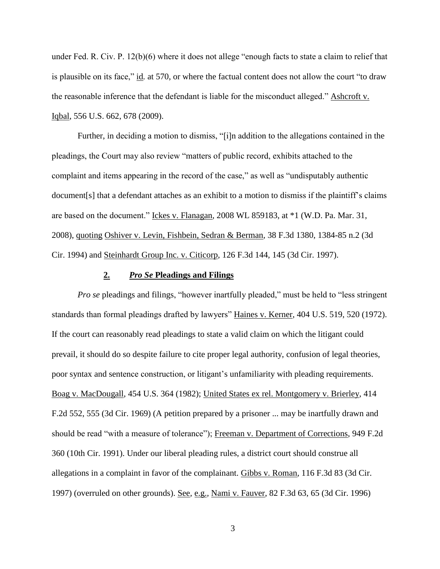under Fed. R. Civ. P. 12(b)(6) where it does not allege "enough facts to state a claim to relief that is plausible on its face," id*.* at 570, or where the factual content does not allow the court "to draw the reasonable inference that the defendant is liable for the misconduct alleged." Ashcroft v. Iqbal, 556 U.S. 662, 678 (2009).

Further, in deciding a motion to dismiss, "[i]n addition to the allegations contained in the pleadings, the Court may also review "matters of public record, exhibits attached to the complaint and items appearing in the record of the case," as well as "undisputably authentic document[s] that a defendant attaches as an exhibit to a motion to dismiss if the plaintiff's claims are based on the document." Ickes v. Flanagan*,* 2008 WL 859183, at \*1 (W.D. Pa. Mar. 31, 2008), quoting Oshiver v. Levin, Fishbein, Sedran & Berman*,* 38 F.3d 1380, 1384-85 n.2 (3d Cir. 1994) and Steinhardt Group Inc. v. Citicorp*,* 126 F.3d 144, 145 (3d Cir. 1997).

## **2.** *Pro Se* **Pleadings and Filings**

*Pro se* pleadings and filings, "however inartfully pleaded," must be held to "less stringent standards than formal pleadings drafted by lawyers" Haines v. Kerner, 404 U.S. 519, 520 (1972). If the court can reasonably read pleadings to state a valid claim on which the litigant could prevail, it should do so despite failure to cite proper legal authority, confusion of legal theories, poor syntax and sentence construction, or litigant's unfamiliarity with pleading requirements. Boag v. MacDougall, 454 U.S. 364 (1982); United States ex rel. Montgomery v. Brierley, 414 F.2d 552, 555 (3d Cir. 1969) (A petition prepared by a prisoner ... may be inartfully drawn and should be read "with a measure of tolerance"); Freeman v. Department of Corrections, 949 F.2d 360 (10th Cir. 1991). Under our liberal pleading rules, a district court should construe all allegations in a complaint in favor of the complainant. Gibbs v. Roman, 116 F.3d 83 (3d Cir. 1997) (overruled on other grounds). See*,* e.g.*,* Nami v. Fauver, 82 F.3d 63, 65 (3d Cir. 1996)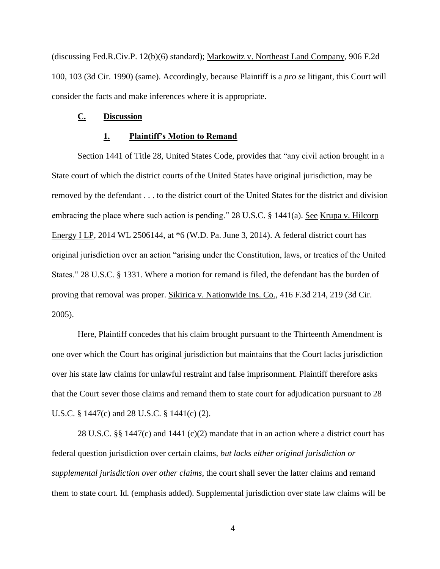(discussing Fed.R.Civ.P. 12(b)(6) standard); Markowitz v. Northeast Land Company, 906 F.2d 100, 103 (3d Cir. 1990) (same). Accordingly, because Plaintiff is a *pro se* litigant, this Court will consider the facts and make inferences where it is appropriate.

#### **C. Discussion**

#### **1. Plaintiff's Motion to Remand**

Section 1441 of Title 28, United States Code, provides that "any civil action brought in a State court of which the district courts of the United States have original jurisdiction, may be removed by the defendant . . . to the district court of the United States for the district and division embracing the place where such action is pending." 28 U.S.C. § 1441(a). See Krupa v. Hilcorp Energy I LP, 2014 WL 2506144, at \*6 (W.D. Pa. June 3, 2014). A federal district court has original jurisdiction over an action "arising under the Constitution, laws, or treaties of the United States." 28 U.S.C. § 1331. Where a motion for remand is filed, the defendant has the burden of proving that removal was proper. Sikirica v. Nationwide Ins. Co.*,* 416 F.3d 214, 219 (3d Cir. 2005).

Here, Plaintiff concedes that his claim brought pursuant to the Thirteenth Amendment is one over which the Court has original jurisdiction but maintains that the Court lacks jurisdiction over his state law claims for unlawful restraint and false imprisonment. Plaintiff therefore asks that the Court sever those claims and remand them to state court for adjudication pursuant to 28 U.S.C. § 1447(c) and 28 U.S.C. § 1441(c) (2).

28 U.S.C. §§ 1447(c) and 1441 (c)(2) mandate that in an action where a district court has federal question jurisdiction over certain claims, *but lacks either original jurisdiction or supplemental jurisdiction over other claims*, the court shall sever the latter claims and remand them to state court. Id*.* (emphasis added). Supplemental jurisdiction over state law claims will be

4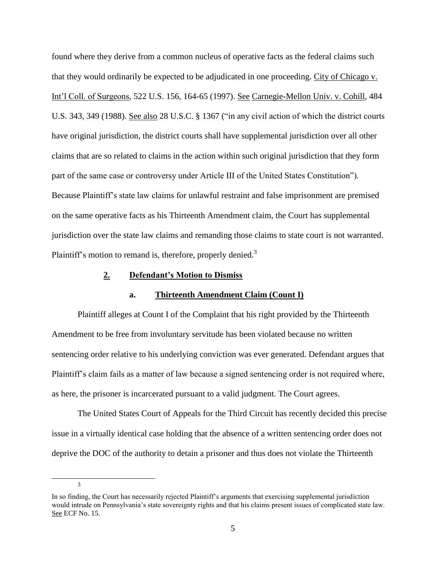found where they derive from a common nucleus of operative facts as the federal claims such that they would ordinarily be expected to be adjudicated in one proceeding. City of Chicago v. Int'l Coll. of Surgeons, 522 U.S. 156, 164-65 (1997). See Carnegie-Mellon Univ. v. Cohill, 484 U.S. 343, 349 (1988). See also 28 U.S.C. § 1367 ("in any civil action of which the district courts have original jurisdiction, the district courts shall have supplemental jurisdiction over all other claims that are so related to claims in the action within such original jurisdiction that they form part of the same case or controversy under Article III of the United States Constitution"). Because Plaintiff's state law claims for unlawful restraint and false imprisonment are premised on the same operative facts as his Thirteenth Amendment claim, the Court has supplemental jurisdiction over the state law claims and remanding those claims to state court is not warranted. Plaintiff's motion to remand is, therefore, properly denied.<sup>3</sup>

## **2. Defendant's Motion to Dismiss**

#### **a. Thirteenth Amendment Claim (Count I)**

Plaintiff alleges at Count I of the Complaint that his right provided by the Thirteenth Amendment to be free from involuntary servitude has been violated because no written sentencing order relative to his underlying conviction was ever generated. Defendant argues that Plaintiff's claim fails as a matter of law because a signed sentencing order is not required where, as here, the prisoner is incarcerated pursuant to a valid judgment. The Court agrees.

The United States Court of Appeals for the Third Circuit has recently decided this precise issue in a virtually identical case holding that the absence of a written sentencing order does not deprive the DOC of the authority to detain a prisoner and thus does not violate the Thirteenth

3

 $\overline{a}$ 

In so finding, the Court has necessarily rejected Plaintiff's arguments that exercising supplemental jurisdiction would intrude on Pennsylvania's state sovereignty rights and that his claims present issues of complicated state law. See ECF No. 15.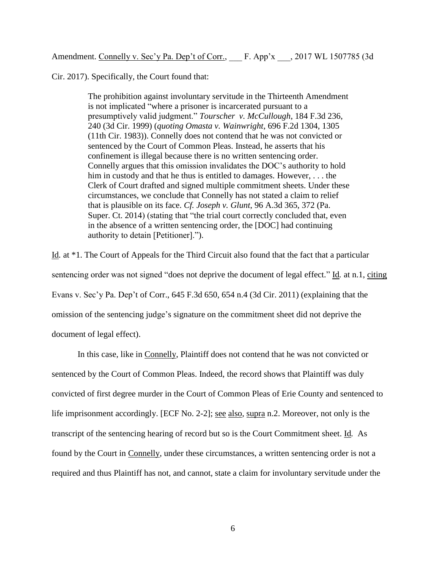Cir. 2017). Specifically, the Court found that:

The prohibition against involuntary servitude in the Thirteenth Amendment is not implicated "where a prisoner is incarcerated pursuant to a presumptively valid judgment." *Tourscher v. McCullough*, 184 F.3d 236, 240 (3d Cir. 1999) (*quoting Omasta v. Wainwright*, 696 F.2d 1304, 1305 (11th Cir. 1983)). Connelly does not contend that he was not convicted or sentenced by the Court of Common Pleas. Instead, he asserts that his confinement is illegal because there is no written sentencing order. Connelly argues that this omission invalidates the DOC's authority to hold him in custody and that he thus is entitled to damages. However, . . . the Clerk of Court drafted and signed multiple commitment sheets. Under these circumstances, we conclude that Connelly has not stated a claim to relief that is plausible on its face. *Cf. Joseph v. Glunt*, 96 A.3d 365, 372 (Pa. Super. Ct. 2014) (stating that "the trial court correctly concluded that, even in the absence of a written sentencing order, the [DOC] had continuing authority to detain [Petitioner].").

Id*.* at \*1. The Court of Appeals for the Third Circuit also found that the fact that a particular sentencing order was not signed "does not deprive the document of legal effect." Id*.* at n.1, citing Evans v. Sec'y Pa. Dep't of Corr., 645 F.3d 650, 654 n.4 (3d Cir. 2011) (explaining that the omission of the sentencing judge's signature on the commitment sheet did not deprive the document of legal effect).

In this case, like in Connelly, Plaintiff does not contend that he was not convicted or sentenced by the Court of Common Pleas. Indeed, the record shows that Plaintiff was duly convicted of first degree murder in the Court of Common Pleas of Erie County and sentenced to life imprisonment accordingly. [ECF No. 2-2]; see also*,* supra n.2. Moreover, not only is the transcript of the sentencing hearing of record but so is the Court Commitment sheet. Id*.* As found by the Court in Connelly, under these circumstances, a written sentencing order is not a required and thus Plaintiff has not, and cannot, state a claim for involuntary servitude under the